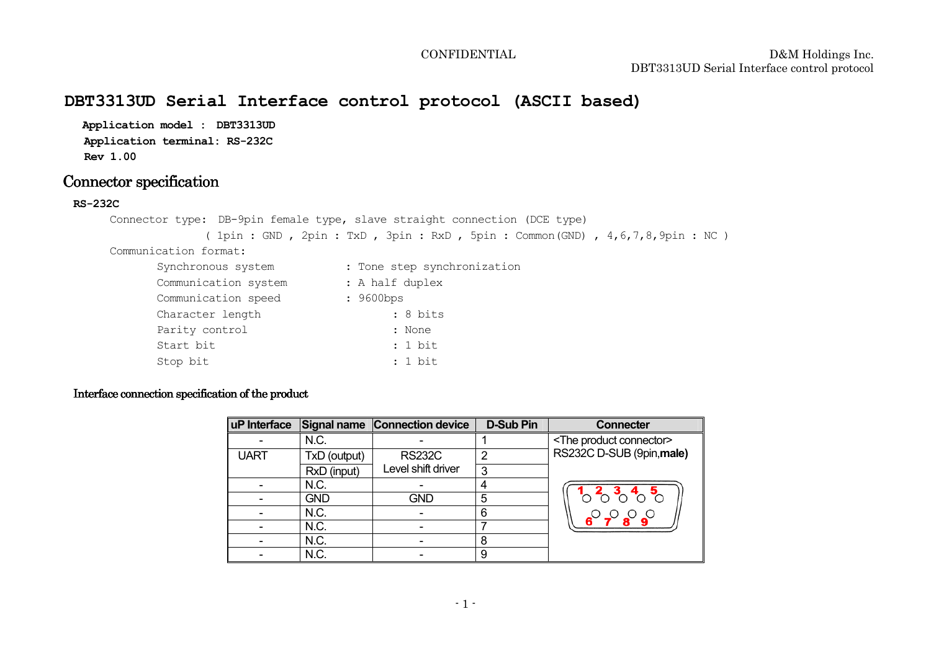# **DBT3313UD Serial Interface control protocol (ASCII based)**

Stop bit : 1 bit : 1 bit

**Application model : DBT3313UD Application terminal: RS-232CRev 1.00** 

## Connector specification

### **RS-232C**

```

Connector type: DB-9pin female type, slave straight connection (DCE type) 
( 1pin : GND , 2pin : TxD , 3pin : RxD , 5pin : Common(GND) , 4,6,7,8,9pin : NC ) Communication format: Synchronous system : Tone step synchronization
      Communication system : A half duplex<br>
Communication speed : 9600bps
      Communication speed
                                      : 8 \text{ bits}Character length
      Parity control : None
       Start bit : 1 bit : 1 bit
```
## Interface connection specification of the product

| uP Interface |              | Signal name Connection device | <b>D-Sub Pin</b> | <b>Connecter</b>                    |
|--------------|--------------|-------------------------------|------------------|-------------------------------------|
|              | N.C.         |                               |                  | <the connector="" product=""></the> |
| <b>UART</b>  | TxD (output) | <b>RS232C</b>                 | っ                | RS232C D-SUB (9pin, male)           |
|              | RxD (input)  | Level shift driver            | 3                |                                     |
|              | N.C.         |                               | 4                |                                     |
|              | <b>GND</b>   | <b>GND</b>                    | 5                |                                     |
|              | N.C.         |                               | 6                |                                     |
|              | N.C.         |                               |                  |                                     |
|              | N.C.         |                               | 8                |                                     |
|              | N.C.         |                               | 9                |                                     |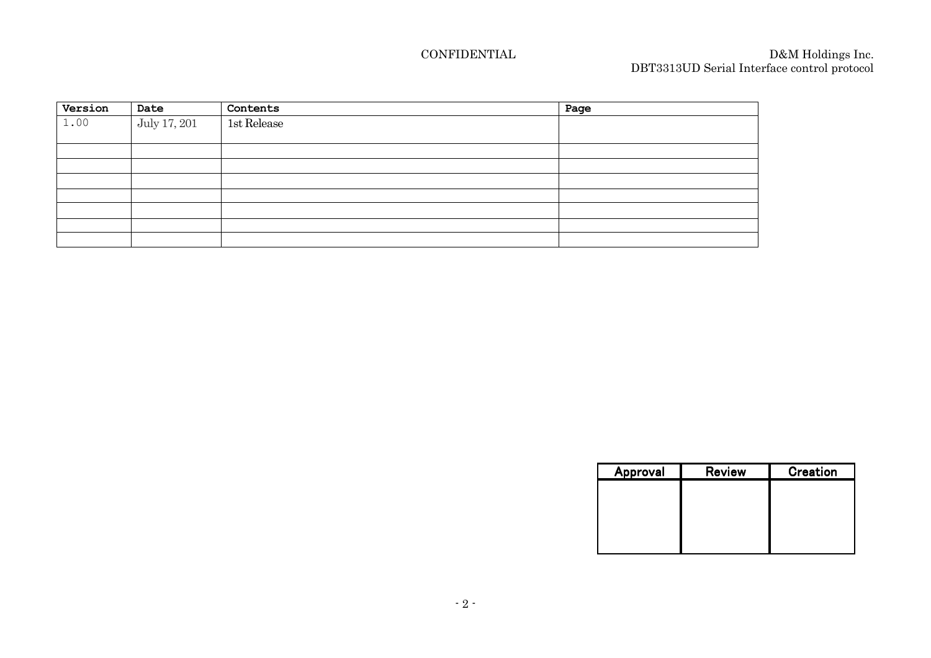| Version | Date         | Contents    | Page |
|---------|--------------|-------------|------|
| 1.00    | July 17, 201 | 1st Release |      |
|         |              |             |      |
|         |              |             |      |
|         |              |             |      |
|         |              |             |      |
|         |              |             |      |
|         |              |             |      |
|         |              |             |      |
|         |              |             |      |

| Approval | <b>Review</b> | Creation |
|----------|---------------|----------|
|          |               |          |
|          |               |          |
|          |               |          |
|          |               |          |
|          |               |          |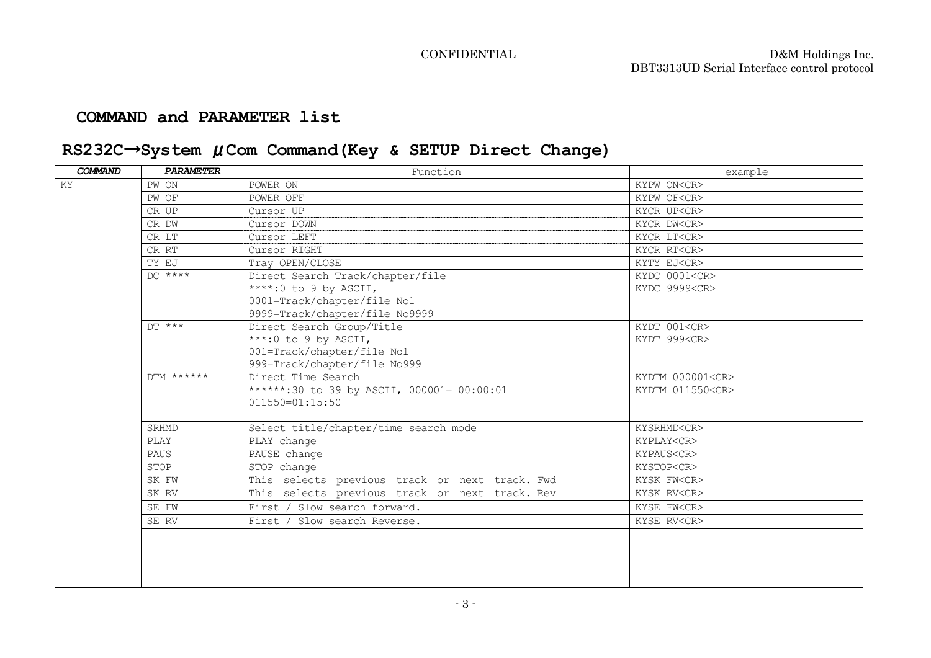## **COMMAND and PARAMETER list**

# **RS232C**→**System** μ**Com Command(Key & SETUP Direct Change)**

| COMMAND             | <b>PARAMETER</b> | Function                                       | example                |
|---------------------|------------------|------------------------------------------------|------------------------|
| KY                  | PW ON            | POWER ON                                       | KYPW ON <cr></cr>      |
|                     | PW OF            | POWER OFF                                      | KYPW OF <cr></cr>      |
|                     | CR UP            | Cursor UP                                      | KYCR UP <cr></cr>      |
|                     | CR DW            | Cursor DOWN                                    | KYCR DW <cr></cr>      |
|                     | CR LT            | Cursor LEFT                                    | KYCR LT <cr></cr>      |
|                     | CR RT            | Cursor RIGHT                                   | KYCR RT <cr></cr>      |
|                     | TY EJ            | Tray OPEN/CLOSE                                | KYTY EJ <cr></cr>      |
|                     | $DC$ ****        | Direct Search Track/chapter/file               | KYDC 0001 <cr></cr>    |
|                     |                  | ****:0 to 9 by ASCII,                          | KYDC 9999 <cr></cr>    |
|                     |                  | 0001=Track/chapter/file No1                    |                        |
|                     |                  | 9999=Track/chapter/file No9999                 |                        |
|                     | $DT$ ***         | Direct Search Group/Title                      | KYDT 001 <cr></cr>     |
|                     |                  | ***: 0 to 9 by ASCII,                          | KYDT 999 <cr></cr>     |
|                     |                  | 001=Track/chapter/file No1                     |                        |
|                     |                  | 999=Track/chapter/file No999                   |                        |
|                     | $DTM$ ******     | Direct Time Search                             | KYDTM 000001 <cr></cr> |
|                     |                  | ******:30 to 39 by ASCII, 000001= 00:00:01     | KYDTM 011550 <cr></cr> |
| $011550 = 01:15:50$ |                  |                                                |                        |
|                     | <b>SRHMD</b>     | Select title/chapter/time search mode          | KYSRHMD <cr></cr>      |
|                     | PLAY             | PLAY change                                    | KYPLAY <cr></cr>       |
|                     | <b>PAUS</b>      | PAUSE change                                   | KYPAUS <cr></cr>       |
|                     | STOP             | STOP change                                    | KYSTOP <cr></cr>       |
|                     | SK FW            | This selects previous track or next track. Fwd | KYSK FW <cr></cr>      |
|                     | SK RV            | This selects previous track or next track. Rev | KYSK RV <cr></cr>      |
|                     | SE FW            | First / Slow search forward.                   | KYSE FW <cr></cr>      |
|                     | SE RV            | First / Slow search Reverse.                   | KYSE RV <cr></cr>      |
|                     |                  |                                                |                        |
|                     |                  |                                                |                        |
|                     |                  |                                                |                        |
|                     |                  |                                                |                        |
|                     |                  |                                                |                        |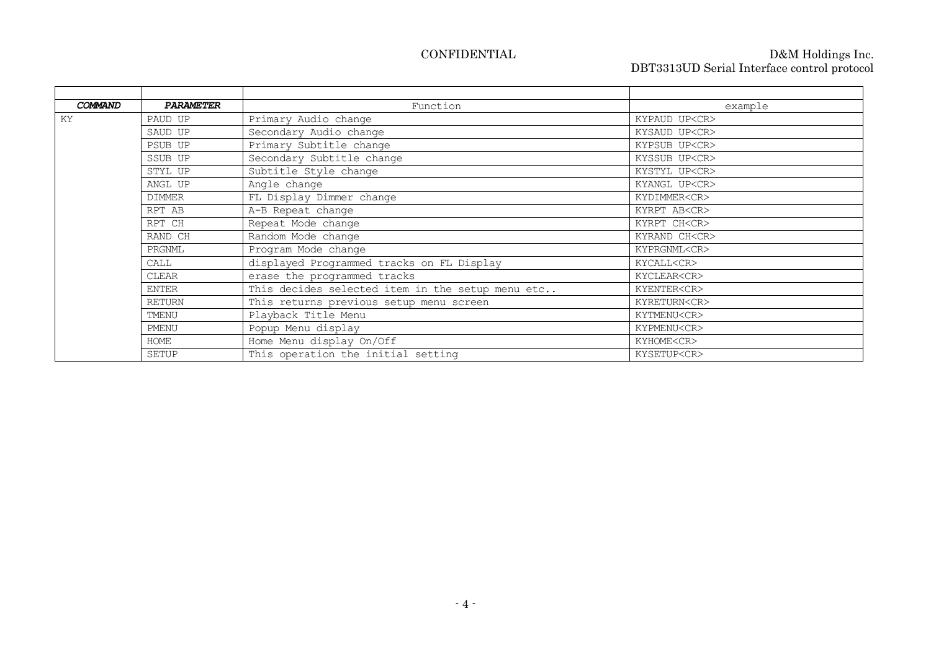| COMMAND | <b>PARAMETER</b> | Function                                         | example             |
|---------|------------------|--------------------------------------------------|---------------------|
| KY      | PAUD UP          | Primary Audio change                             | KYPAUD UP <cr></cr> |
|         | SAUD UP          | Secondary Audio change                           | KYSAUD UP <cr></cr> |
|         | PSUB UP          | Primary Subtitle change                          | KYPSUB UP <cr></cr> |
|         | SSUB UP          | Secondary Subtitle change                        | KYSSUB UP <cr></cr> |
|         | STYL UP          | Subtitle Style change                            | KYSTYL UP <cr></cr> |
|         | ANGL UP          | Angle change                                     | KYANGL UP <cr></cr> |
|         | <b>DIMMER</b>    | FL Display Dimmer change                         | KYDIMMER <cr></cr>  |
|         | RPT AB           | A-B Repeat change                                | KYRPT AB <cr></cr>  |
|         | RPT CH           | Repeat Mode change                               | KYRPT CH <cr></cr>  |
|         | RAND CH          | Random Mode change                               | KYRAND CH <cr></cr> |
|         | PRGNML           | Program Mode change                              | KYPRGNML <cr></cr>  |
|         | CALL             | displayed Programmed tracks on FL Display        | KYCALL <cr></cr>    |
|         | <b>CLEAR</b>     | erase the programmed tracks                      | KYCLEAR <cr></cr>   |
|         | ENTER            | This decides selected item in the setup menu etc | KYENTER <cr></cr>   |
|         | <b>RETURN</b>    | This returns previous setup menu screen          | KYRETURN <cr></cr>  |
|         | TMENU            | Playback Title Menu                              | KYTMENU <cr></cr>   |
|         | PMENU            | Popup Menu display                               | KYPMENU <cr></cr>   |
|         | HOME             | Home Menu display On/Off                         | KYHOME <cr></cr>    |
|         | SETUP            | This operation the initial setting               | KYSETUP <cr></cr>   |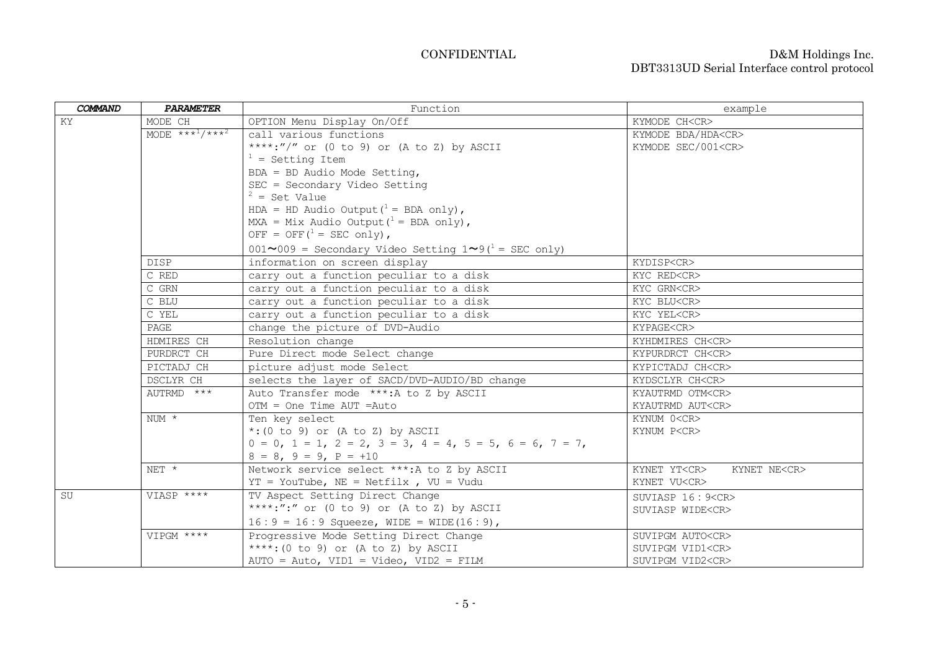| COMMAND | PARAMETER                               | Function                                                                        | example                                  |  |
|---------|-----------------------------------------|---------------------------------------------------------------------------------|------------------------------------------|--|
| KY      | MODE CH                                 | OPTION Menu Display On/Off                                                      | KYMODE CH <cr></cr>                      |  |
|         | MODE *** <sup>1</sup> /*** <sup>2</sup> | call various functions                                                          | KYMODE BDA/HDA <cr></cr>                 |  |
|         |                                         | ****:"/" or (0 to 9) or (A to Z) by ASCII                                       | KYMODE SEC/001 <cr></cr>                 |  |
|         |                                         | $1 =$ Setting Item                                                              |                                          |  |
|         |                                         | $BDA = BD$ Audio Mode Setting,                                                  |                                          |  |
|         |                                         | SEC = Secondary Video Setting                                                   |                                          |  |
|         |                                         | $2 = Set Value$                                                                 |                                          |  |
|         |                                         | HDA = HD Audio Output $(^1 =$ BDA only),                                        |                                          |  |
|         |                                         | MXA = Mix Audio Output $(^1$ = BDA only),                                       |                                          |  |
|         |                                         | OFF = OFF $(^1$ = SEC only),                                                    |                                          |  |
|         |                                         | $001 \sim 009$ = Secondary Video Setting $1 \sim 9$ ( <sup>1</sup> = SEC only)  |                                          |  |
|         | <b>DISP</b>                             | information on screen display                                                   | KYDISP <cr></cr>                         |  |
|         | C RED                                   | carry out a function peculiar to a disk                                         | KYC RED <cr></cr>                        |  |
|         | $C$ GRN                                 | carry out a function peculiar to a disk                                         | KYC GRN <cr></cr>                        |  |
|         | C BLU                                   | carry out a function peculiar to a disk                                         | KYC BLU <cr></cr>                        |  |
|         | C YEL                                   | carry out a function peculiar to a disk                                         | KYC YEL <cr></cr>                        |  |
|         | PAGE                                    | change the picture of DVD-Audio                                                 | KYPAGE <cr></cr>                         |  |
|         | HDMIRES CH                              | Resolution change                                                               | KYHDMIRES CH <cr></cr>                   |  |
|         | PURDRCT CH                              | Pure Direct mode Select change                                                  | KYPURDRCT CH <cr></cr>                   |  |
|         | PICTADJ CH                              | picture adjust mode Select                                                      | KYPICTADJ CH <cr></cr>                   |  |
|         | DSCLYR CH                               | selects the layer of SACD/DVD-AUDIO/BD change                                   | KYDSCLYR CH <cr></cr>                    |  |
|         | AUTRMD ***                              | Auto Transfer mode ***: A to Z by ASCII                                         | KYAUTRMD OTM <cr></cr>                   |  |
|         |                                         | $OTM = One Time AUT = Auto$                                                     | KYAUTRMD AUT <cr></cr>                   |  |
|         | $NUM *$                                 | Ten key select                                                                  | KYNUM 0 <cr></cr>                        |  |
|         |                                         | $*: (0 to 9)$ or (A to Z) by ASCII                                              | KYNUM P <cr></cr>                        |  |
|         |                                         | $0 = 0$ , $1 = 1$ , $2 = 2$ , $3 = 3$ , $4 = 4$ , $5 = 5$ , $6 = 6$ , $7 = 7$ , |                                          |  |
|         |                                         | $8 = 8$ , $9 = 9$ , $P = +10$                                                   |                                          |  |
|         | NET *                                   | Network service select ***: A to Z by ASCII                                     | KYNET YT <cr><br/>KYNET NE<cr></cr></cr> |  |
|         |                                         | $YT = Yourube, NE = Netfilx, W = Vudu$                                          | KYNET VU <cr></cr>                       |  |
| SU      | VIASP ****                              | TV Aspect Setting Direct Change                                                 | SUVIASP $16:9 < CR$                      |  |
|         |                                         | ****:":" or (0 to 9) or (A to Z) by ASCII                                       | SUVIASP WIDE <cr></cr>                   |  |
|         |                                         | $16:9 = 16:9$ Squeeze, WIDE = WIDE(16:9),                                       |                                          |  |
|         | VIPGM ****                              | Progressive Mode Setting Direct Change                                          | SUVIPGM AUTO <cr></cr>                   |  |
|         |                                         | ****: (0 to 9) or (A to Z) by ASCII                                             | SUVIPGM VID1 <cr></cr>                   |  |
|         |                                         | $AUTO = Auto, VIDI = Video, VID2 = FILM$                                        | SUVIPGM VID2 <cr></cr>                   |  |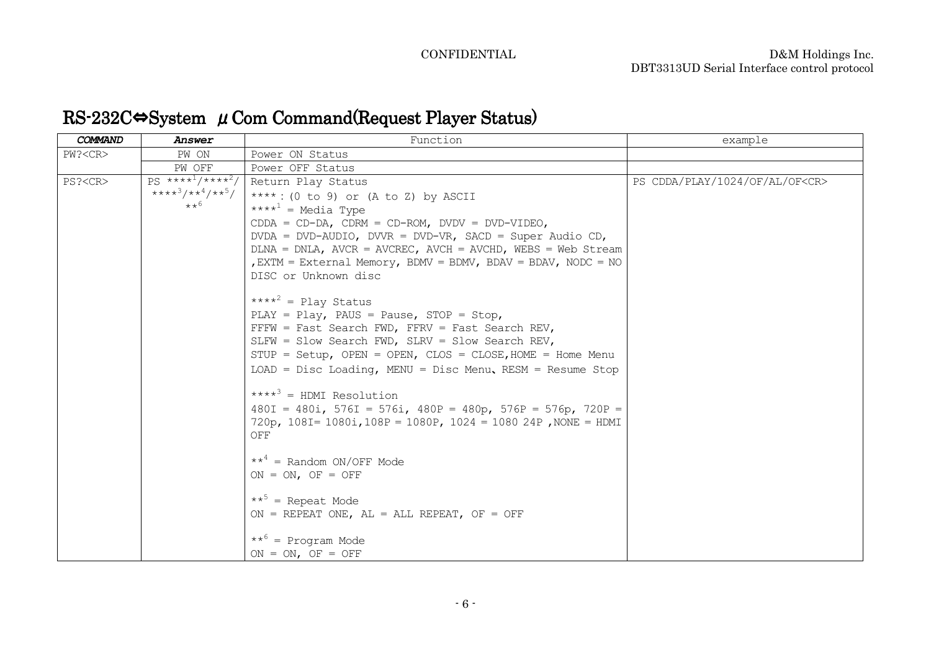# $\operatorname{RS-}232\mathrm{C} \Leftrightarrow \operatorname{System}$   $\mu$  Com Command(Request Player Status)

| COMMAND       | Answer                                                       | Function                                                               | example                              |
|---------------|--------------------------------------------------------------|------------------------------------------------------------------------|--------------------------------------|
| PW? < CR      | PW ON                                                        | Power ON Status                                                        |                                      |
|               | PW OFF                                                       | Power OFF Status                                                       |                                      |
| PS? <cr></cr> | $PS \star \star \star \star^1 / \star \star \star \star^2 /$ | Return Play Status                                                     | PS CDDA/PLAY/1024/OF/AL/OF <cr></cr> |
|               | $****^3/**^4/**^5/$                                          | ****: (0 to 9) or (A to Z) by ASCII                                    |                                      |
|               | $**^6$                                                       | **** <sup>1</sup> = Media Type                                         |                                      |
|               |                                                              | $CDDA = CD-DA$ , $CDRM = CD-ROM$ , $DVDV = DVD-VIDEO$ ,                |                                      |
|               |                                                              | DVDA = DVD-AUDIO, DVVR = DVD-VR, SACD = Super Audio CD,                |                                      |
|               |                                                              | $DLNA = DNLA$ , $AVCR = AVCREC$ , $AVCH = AVCHD$ , $WEBS = Web Stream$ |                                      |
|               |                                                              | EXTM = External Memory, BDMV = BDMV, BDAV = BDAV, NODC = NO            |                                      |
|               |                                                              | DISC or Unknown disc                                                   |                                      |
|               |                                                              | **** <sup>2</sup> = Play Status                                        |                                      |
|               |                                                              | PLAY = Play, PAUS = Pause, STOP = Stop,                                |                                      |
|               |                                                              | $FFFW = Fast Search FWD, FFRV = Fast Search REV,$                      |                                      |
|               |                                                              | SLFW = Slow Search FWD, SLRV = Slow Search REV,                        |                                      |
|               |                                                              | $STUP = Setup$ , OPEN = OPEN, CLOS = CLOSE, HOME = Home Menu           |                                      |
|               |                                                              | $LOAD = Disc$ Loading, MENU = Disc Menu, RESM = Resume Stop            |                                      |
|               |                                                              | $***^3$ = HDMI Resolution                                              |                                      |
|               |                                                              | $480I = 480i$ , 576I = 576i, 480P = 480p, 576P = 576p, 720P =          |                                      |
|               |                                                              | 720p, $108I = 1080i$ , $108P = 1080P$ , $1024 = 108024P$ , NONE = HDMI |                                      |
|               |                                                              | OFF                                                                    |                                      |
|               |                                                              | $***^4$ = Random ON/OFF Mode                                           |                                      |
|               |                                                              | $ON = ON$ , $OF = OFF$                                                 |                                      |
|               |                                                              |                                                                        |                                      |
|               |                                                              | $***^5$ = Repeat Mode                                                  |                                      |
|               |                                                              | ON = REPEAT ONE, $AL = ALL REPEAT$ , OF = OFF                          |                                      |
|               |                                                              |                                                                        |                                      |
|               |                                                              | $***^6$ = Program Mode                                                 |                                      |
|               |                                                              | $ON = ON$ , OF = OFF                                                   |                                      |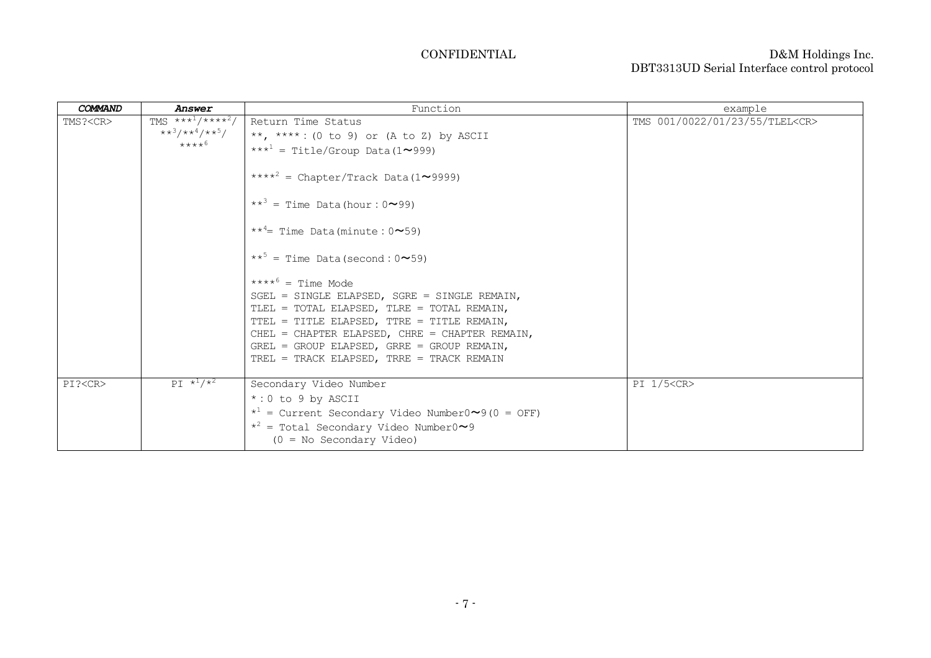| <b>COMMAND</b> | Answer                                                                                      | Function                                                                                                                                                                                                                                                                                                                                                                                                                                                                                                                                                                                                              | example                              |
|----------------|---------------------------------------------------------------------------------------------|-----------------------------------------------------------------------------------------------------------------------------------------------------------------------------------------------------------------------------------------------------------------------------------------------------------------------------------------------------------------------------------------------------------------------------------------------------------------------------------------------------------------------------------------------------------------------------------------------------------------------|--------------------------------------|
| TMS? <cr></cr> | TMS $***^1$ /**** <sup>2</sup> /<br>$\star \star^3/\star \star^4/\star \star^5/$<br>$****6$ | Return Time Status<br>**, ****: (0 to 9) or (A to Z) by ASCII<br>*** <sup>1</sup> = Title/Group Data (1~999)<br>**** <sup>2</sup> = Chapter/Track Data (1~9999)<br>$**^3$ = Time Data(hour: $0 \sim 99$ )<br>$**^4$ = Time Data (minute: $0 \sim 59$ )<br>$***^5$ = Time Data (second: $0 \sim 59$ )<br>$****^6$ = Time Mode<br>SGEL = SINGLE ELAPSED, SGRE = SINGLE REMAIN,<br>TLEL = TOTAL ELAPSED, TLRE = TOTAL REMAIN,<br>TTEL = TITLE ELAPSED, TTRE = TITLE REMAIN,<br>CHEL = CHAPTER ELAPSED, CHRE = CHAPTER REMAIN,<br>GREL = GROUP ELAPSED, GRRE = GROUP REMAIN,<br>TREL = TRACK ELAPSED, TRRE = TRACK REMAIN | TMS 001/0022/01/23/55/TLEL <cr></cr> |
| PI? <cr></cr>  | $PT *1/*2$                                                                                  | Secondary Video Number<br>$*:0$ to 9 by ASCII<br>$\star^1$ = Current Secondary Video Number0 $\sim$ 9 (0 = OFF)<br>$*^{2}$ = Total Secondary Video Number0~9<br>$(0 = No Secondary Video)$                                                                                                                                                                                                                                                                                                                                                                                                                            | PI 1/5 <cr></cr>                     |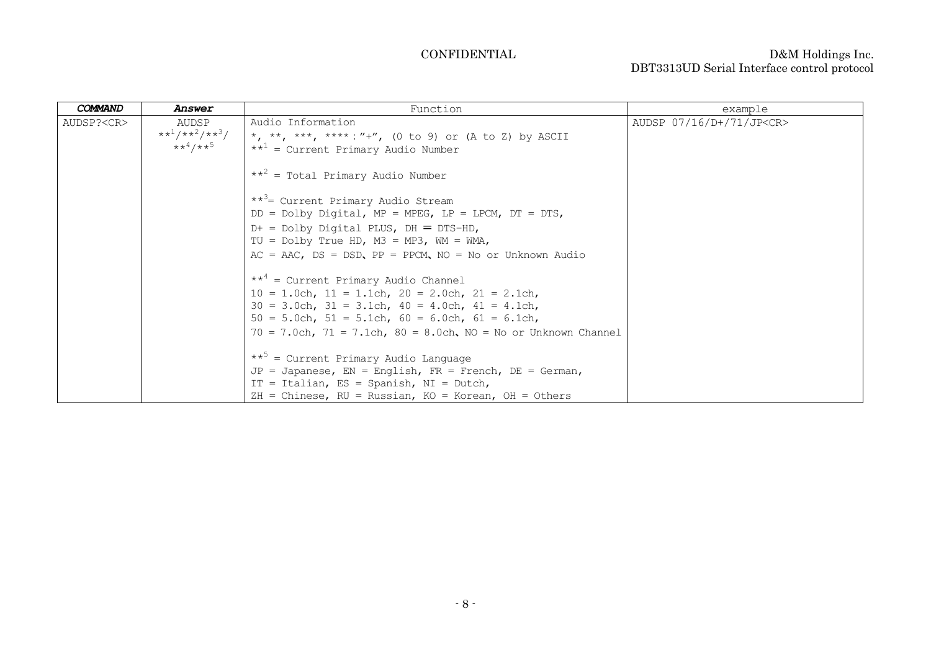| <b>COMMAND</b>   | Answer                                         | Function                                                                                                                   | example                        |
|------------------|------------------------------------------------|----------------------------------------------------------------------------------------------------------------------------|--------------------------------|
| AUDSP? <cr></cr> | AUDSP<br>$**^1/**^2/**^3/$<br>$***^4$ /** $^5$ | Audio Information<br>*, **, ***, ****: "+", (0 to 9) or (A to Z) by ASCII<br>$**^1$ = Current Primary Audio Number         | AUDSP 07/16/D+/71/JP <cr></cr> |
|                  |                                                | $**^2$ = Total Primary Audio Number                                                                                        |                                |
|                  |                                                | ** <sup>3</sup> = Current Primary Audio Stream<br>$DD = Dolby Digital, MP = MPEG, LP = LPCM, DT = DTS,$                    |                                |
|                  |                                                | $D+$ = Dolby Digital PLUS, $DH = DTS-HD,$                                                                                  |                                |
|                  |                                                | TU = Dolby True HD, $M3 = MP3$ , WM = WMA,<br>$AC = AAC$ , $DS = DSD$ , $PP = PPCM$ , $NO = No$ or Unknown Audio           |                                |
|                  |                                                | $**^4$ = Current Primary Audio Channel<br>$10 = 1.0$ ch, $11 = 1.1$ ch, $20 = 2.0$ ch, $21 = 2.1$ ch,                      |                                |
|                  |                                                | $30 = 3.0$ ch, $31 = 3.1$ ch, $40 = 4.0$ ch, $41 = 4.1$ ch,<br>$50 = 5.0$ ch, $51 = 5.1$ ch, $60 = 6.0$ ch, $61 = 6.1$ ch, |                                |
|                  |                                                | $70 = 7.0$ ch, $71 = 7.1$ ch, $80 = 8.0$ ch, $NO = No$ or Unknown Channel                                                  |                                |
|                  |                                                | $**^5$ = Current Primary Audio Language                                                                                    |                                |
|                  |                                                | $JP = Japanese$ , $EN = English$ , $FR = French$ , $DE = German$ ,<br>IT = Italian, ES = Spanish, NI = Dutch,              |                                |
|                  |                                                | $ZH = Chinese$ , RU = Russian, KO = Korean, OH = Others                                                                    |                                |